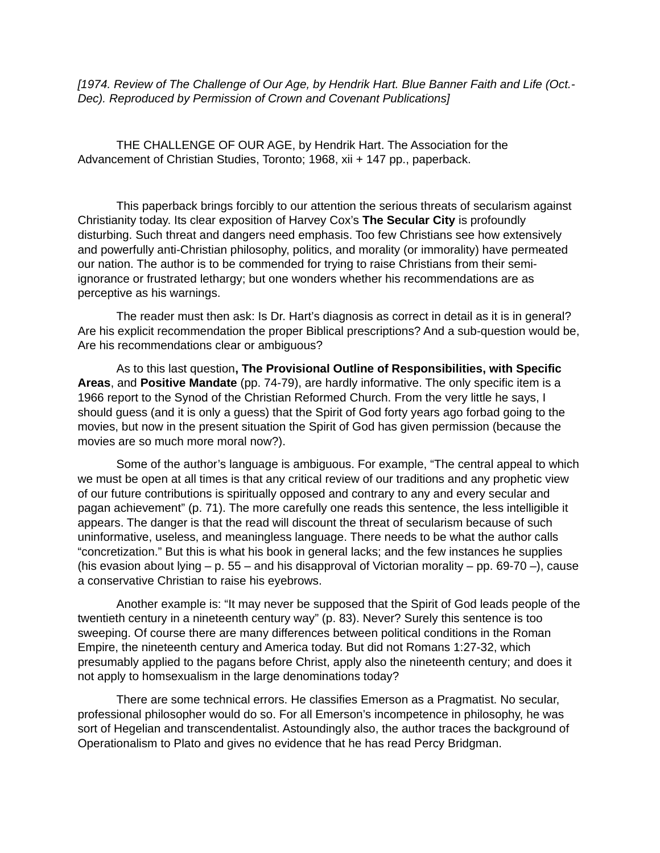*[1974. Review of The Challenge of Our Age, by Hendrik Hart. Blue Banner Faith and Life (Oct.- Dec). Reproduced by Permission of Crown and Covenant Publications]*

THE CHALLENGE OF OUR AGE, by Hendrik Hart. The Association for the Advancement of Christian Studies, Toronto; 1968, xii + 147 pp., paperback.

This paperback brings forcibly to our attention the serious threats of secularism against Christianity today. Its clear exposition of Harvey Cox's **The Secular City** is profoundly disturbing. Such threat and dangers need emphasis. Too few Christians see how extensively and powerfully anti-Christian philosophy, politics, and morality (or immorality) have permeated our nation. The author is to be commended for trying to raise Christians from their semiignorance or frustrated lethargy; but one wonders whether his recommendations are as perceptive as his warnings.

The reader must then ask: Is Dr. Hart's diagnosis as correct in detail as it is in general? Are his explicit recommendation the proper Biblical prescriptions? And a sub-question would be, Are his recommendations clear or ambiguous?

As to this last question**, The Provisional Outline of Responsibilities, with Specific Areas**, and **Positive Mandate** (pp. 74-79), are hardly informative. The only specific item is a 1966 report to the Synod of the Christian Reformed Church. From the very little he says, I should guess (and it is only a guess) that the Spirit of God forty years ago forbad going to the movies, but now in the present situation the Spirit of God has given permission (because the movies are so much more moral now?).

Some of the author's language is ambiguous. For example, "The central appeal to which we must be open at all times is that any critical review of our traditions and any prophetic view of our future contributions is spiritually opposed and contrary to any and every secular and pagan achievement" (p. 71). The more carefully one reads this sentence, the less intelligible it appears. The danger is that the read will discount the threat of secularism because of such uninformative, useless, and meaningless language. There needs to be what the author calls "concretization." But this is what his book in general lacks; and the few instances he supplies (his evasion about lying  $-$  p. 55  $-$  and his disapproval of Victorian morality  $-$  pp. 69-70  $-$ ), cause a conservative Christian to raise his eyebrows.

Another example is: "It may never be supposed that the Spirit of God leads people of the twentieth century in a nineteenth century way" (p. 83). Never? Surely this sentence is too sweeping. Of course there are many differences between political conditions in the Roman Empire, the nineteenth century and America today. But did not Romans 1:27-32, which presumably applied to the pagans before Christ, apply also the nineteenth century; and does it not apply to homsexualism in the large denominations today?

There are some technical errors. He classifies Emerson as a Pragmatist. No secular, professional philosopher would do so. For all Emerson's incompetence in philosophy, he was sort of Hegelian and transcendentalist. Astoundingly also, the author traces the background of Operationalism to Plato and gives no evidence that he has read Percy Bridgman.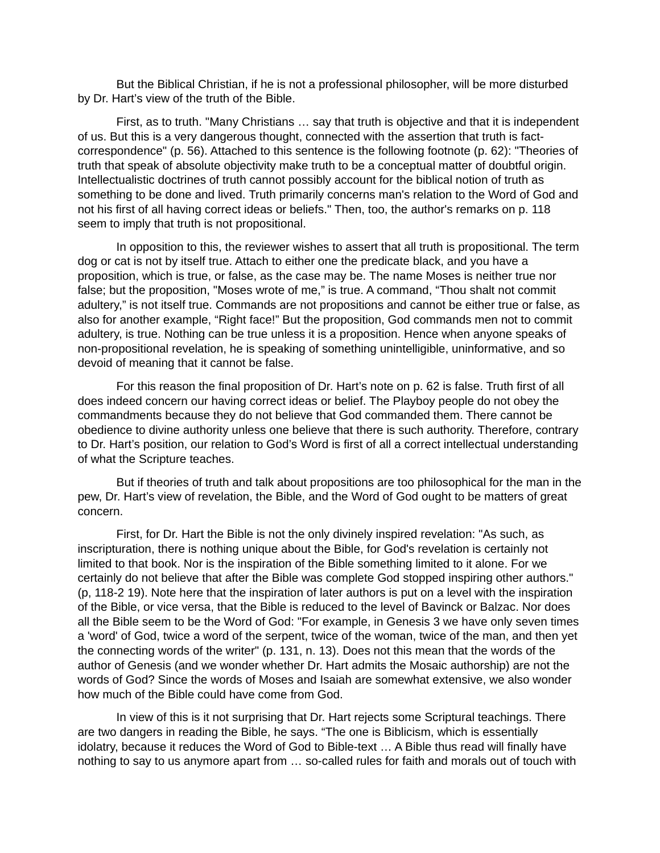But the Biblical Christian, if he is not a professional philosopher, will be more disturbed by Dr. Hart's view of the truth of the Bible.

First, as to truth. "Many Christians … say that truth is objective and that it is independent of us. But this is a very dangerous thought, connected with the assertion that truth is factcorrespondence" (p. 56). Attached to this sentence is the following footnote (p. 62): "Theories of truth that speak of absolute objectivity make truth to be a conceptual matter of doubtful origin. Intellectualistic doctrines of truth cannot possibly account for the biblical notion of truth as something to be done and lived. Truth primarily concerns man's relation to the Word of God and not his first of all having correct ideas or beliefs." Then, too, the author's remarks on p. 118 seem to imply that truth is not propositional.

In opposition to this, the reviewer wishes to assert that all truth is propositional. The term dog or cat is not by itself true. Attach to either one the predicate black, and you have a proposition, which is true, or false, as the case may be. The name Moses is neither true nor false; but the proposition, "Moses wrote of me," is true. A command, "Thou shalt not commit adultery," is not itself true. Commands are not propositions and cannot be either true or false, as also for another example, "Right face!" But the proposition, God commands men not to commit adultery, is true. Nothing can be true unless it is a proposition. Hence when anyone speaks of non-propositional revelation, he is speaking of something unintelligible, uninformative, and so devoid of meaning that it cannot be false.

For this reason the final proposition of Dr. Hart's note on p. 62 is false. Truth first of all does indeed concern our having correct ideas or belief. The Playboy people do not obey the commandments because they do not believe that God commanded them. There cannot be obedience to divine authority unless one believe that there is such authority. Therefore, contrary to Dr. Hart's position, our relation to God's Word is first of all a correct intellectual understanding of what the Scripture teaches.

But if theories of truth and talk about propositions are too philosophical for the man in the pew, Dr. Hart's view of revelation, the Bible, and the Word of God ought to be matters of great concern.

First, for Dr. Hart the Bible is not the only divinely inspired revelation: "As such, as inscripturation, there is nothing unique about the Bible, for God's revelation is certainly not limited to that book. Nor is the inspiration of the Bible something limited to it alone. For we certainly do not believe that after the Bible was complete God stopped inspiring other authors." (p, 118-2 19). Note here that the inspiration of later authors is put on a level with the inspiration of the Bible, or vice versa, that the Bible is reduced to the level of Bavinck or Balzac. Nor does all the Bible seem to be the Word of God: "For example, in Genesis 3 we have only seven times a 'word' of God, twice a word of the serpent, twice of the woman, twice of the man, and then yet the connecting words of the writer" (p. 131, n. 13). Does not this mean that the words of the author of Genesis (and we wonder whether Dr. Hart admits the Mosaic authorship) are not the words of God? Since the words of Moses and Isaiah are somewhat extensive, we also wonder how much of the Bible could have come from God.

In view of this is it not surprising that Dr. Hart rejects some Scriptural teachings. There are two dangers in reading the Bible, he says. "The one is Biblicism, which is essentially idolatry, because it reduces the Word of God to Bible-text … A Bible thus read will finally have nothing to say to us anymore apart from … so-called rules for faith and morals out of touch with